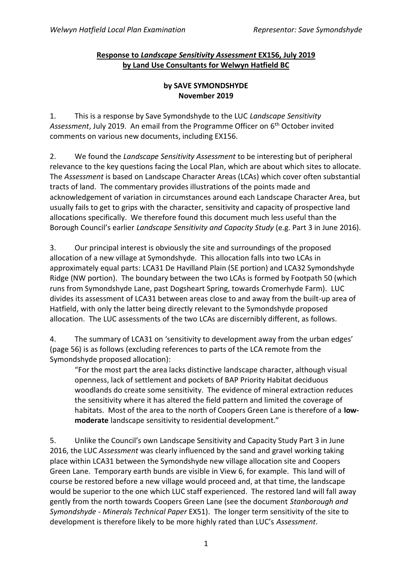## **Response to** *Landscape Sensitivity Assessment* **EX156, July 2019 by Land Use Consultants for Welwyn Hatfield BC**

## **by SAVE SYMONDSHYDE November 2019**

1. This is a response by Save Symondshyde to the LUC *Landscape Sensitivity Assessment*, July 2019. An email from the Programme Officer on 6th October invited comments on various new documents, including EX156.

2. We found the *Landscape Sensitivity Assessment* to be interesting but of peripheral relevance to the key questions facing the Local Plan, which are about which sites to allocate. The *Assessment* is based on Landscape Character Areas (LCAs) which cover often substantial tracts of land. The commentary provides illustrations of the points made and acknowledgement of variation in circumstances around each Landscape Character Area, but usually fails to get to grips with the character, sensitivity and capacity of prospective land allocations specifically. We therefore found this document much less useful than the Borough Council's earlier *Landscape Sensitivity and Capacity Study* (e.g. Part 3 in June 2016).

3. Our principal interest is obviously the site and surroundings of the proposed allocation of a new village at Symondshyde. This allocation falls into two LCAs in approximately equal parts: LCA31 De Havilland Plain (SE portion) and LCA32 Symondshyde Ridge (NW portion). The boundary between the two LCAs is formed by Footpath 50 (which runs from Symondshyde Lane, past Dogsheart Spring, towards Cromerhyde Farm). LUC divides its assessment of LCA31 between areas close to and away from the built-up area of Hatfield, with only the latter being directly relevant to the Symondshyde proposed allocation. The LUC assessments of the two LCAs are discernibly different, as follows.

4. The summary of LCA31 on 'sensitivity to development away from the urban edges' (page 56) is as follows (excluding references to parts of the LCA remote from the Symondshyde proposed allocation):

"For the most part the area lacks distinctive landscape character, although visual openness, lack of settlement and pockets of BAP Priority Habitat deciduous woodlands do create some sensitivity. The evidence of mineral extraction reduces the sensitivity where it has altered the field pattern and limited the coverage of habitats. Most of the area to the north of Coopers Green Lane is therefore of a **lowmoderate** landscape sensitivity to residential development."

5. Unlike the Council's own Landscape Sensitivity and Capacity Study Part 3 in June 2016, the LUC *Assessment* was clearly influenced by the sand and gravel working taking place within LCA31 between the Symondshyde new village allocation site and Coopers Green Lane. Temporary earth bunds are visible in View 6, for example. This land will of course be restored before a new village would proceed and, at that time, the landscape would be superior to the one which LUC staff experienced. The restored land will fall away gently from the north towards Coopers Green Lane (see the document *Stanborough and Symondshyde - Minerals Technical Paper* EX51). The longer term sensitivity of the site to development is therefore likely to be more highly rated than LUC's *Assessment*.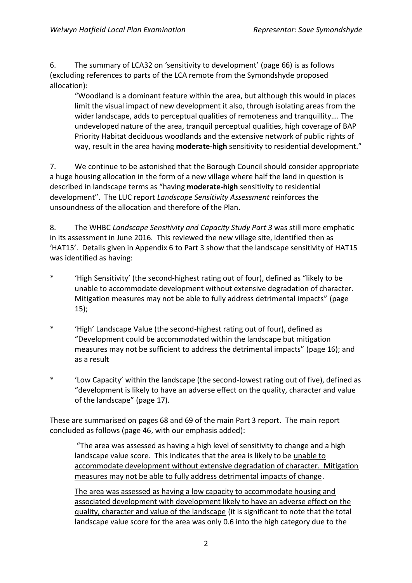6. The summary of LCA32 on 'sensitivity to development' (page 66) is as follows (excluding references to parts of the LCA remote from the Symondshyde proposed allocation):

"Woodland is a dominant feature within the area, but although this would in places limit the visual impact of new development it also, through isolating areas from the wider landscape, adds to perceptual qualities of remoteness and tranquillity…. The undeveloped nature of the area, tranquil perceptual qualities, high coverage of BAP Priority Habitat deciduous woodlands and the extensive network of public rights of way, result in the area having **moderate-high** sensitivity to residential development."

7. We continue to be astonished that the Borough Council should consider appropriate a huge housing allocation in the form of a new village where half the land in question is described in landscape terms as "having **moderate-high** sensitivity to residential development". The LUC report *Landscape Sensitivity Assessment* reinforces the unsoundness of the allocation and therefore of the Plan.

8. The WHBC *Landscape Sensitivity and Capacity Study Part 3* was still more emphatic in its assessment in June 2016. This reviewed the new village site, identified then as 'HAT15'. Details given in Appendix 6 to Part 3 show that the landscape sensitivity of HAT15 was identified as having:

- \* 'High Sensitivity' (the second-highest rating out of four), defined as "likely to be unable to accommodate development without extensive degradation of character. Mitigation measures may not be able to fully address detrimental impacts" (page 15);
- \* 'High' Landscape Value (the second-highest rating out of four), defined as "Development could be accommodated within the landscape but mitigation measures may not be sufficient to address the detrimental impacts" (page 16); and as a result
- \* 'Low Capacity' within the landscape (the second-lowest rating out of five), defined as "development is likely to have an adverse effect on the quality, character and value of the landscape" (page 17).

These are summarised on pages 68 and 69 of the main Part 3 report. The main report concluded as follows (page 46, with our emphasis added):

"The area was assessed as having a high level of sensitivity to change and a high landscape value score. This indicates that the area is likely to be unable to accommodate development without extensive degradation of character. Mitigation measures may not be able to fully address detrimental impacts of change.

The area was assessed as having a low capacity to accommodate housing and associated development with development likely to have an adverse effect on the quality, character and value of the landscape (it is significant to note that the total landscape value score for the area was only 0.6 into the high category due to the